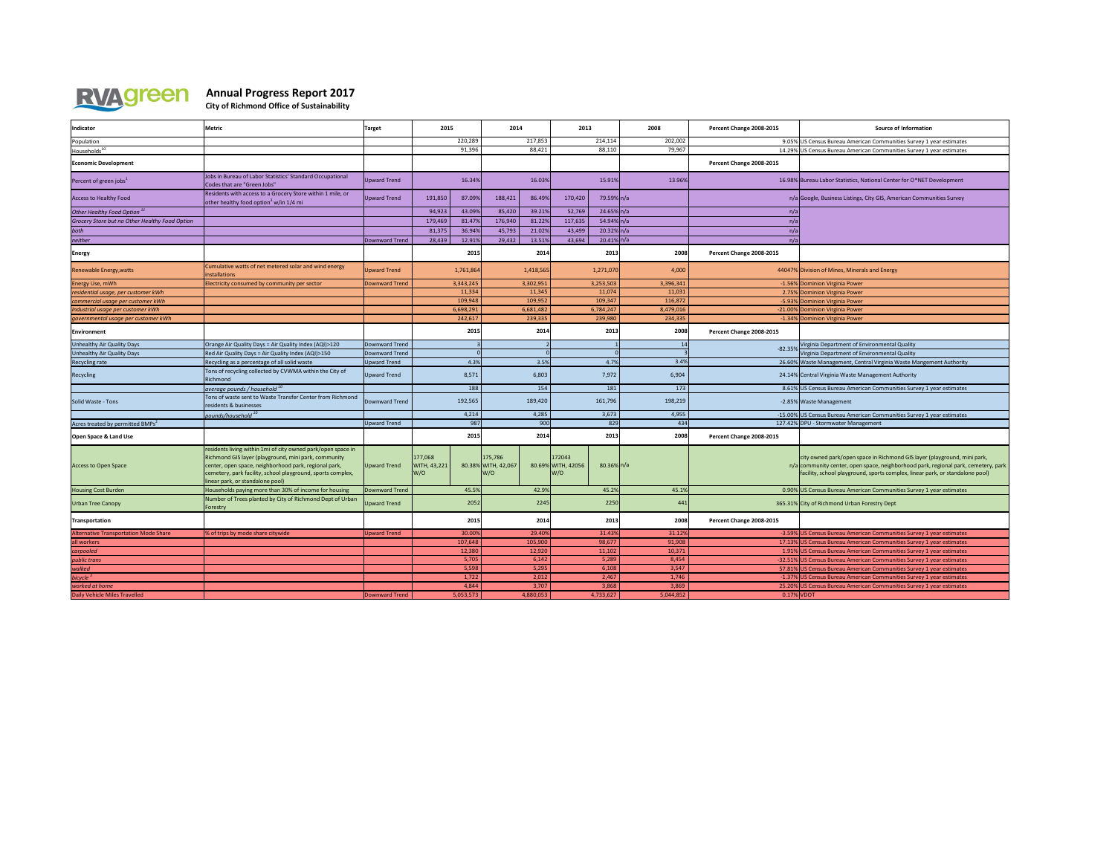

## **Annual Progress Report 2017**

**City of Richmond Office of Sustainability**

| Indicator                                      | <b>Metric</b>                                                                                                                                                                                                                                                                    | <b>Target</b>       | 2015                                  |           | 2014                                  |           | 2013                                 |               | 2008      | Percent Change 2008-2015 | <b>Source of Information</b>                                                                                                                                                                                                                    |
|------------------------------------------------|----------------------------------------------------------------------------------------------------------------------------------------------------------------------------------------------------------------------------------------------------------------------------------|---------------------|---------------------------------------|-----------|---------------------------------------|-----------|--------------------------------------|---------------|-----------|--------------------------|-------------------------------------------------------------------------------------------------------------------------------------------------------------------------------------------------------------------------------------------------|
| Population                                     |                                                                                                                                                                                                                                                                                  |                     | 220,289                               |           |                                       | 217,853   | 214,114                              |               | 202,002   |                          | 9.05% US Census Bureau American Communities Survey 1 year estimates                                                                                                                                                                             |
| Households <sup>10</sup>                       |                                                                                                                                                                                                                                                                                  |                     | 91,396                                |           | 88,421                                |           | 88,110                               |               | 79,967    |                          | 14.29% US Census Bureau American Communities Survey 1 year estimates                                                                                                                                                                            |
| <b>Economic Development</b>                    |                                                                                                                                                                                                                                                                                  |                     |                                       |           |                                       |           |                                      |               |           | Percent Change 2008-2015 |                                                                                                                                                                                                                                                 |
| Percent of green jobs <sup>1</sup>             | Jobs in Bureau of Labor Statistics' Standard Occupational<br>Codes that are "Green Jobs"                                                                                                                                                                                         | Upward Trend        |                                       | 16.34%    |                                       | 16.03%    |                                      | 15.91%        | 13.96%    |                          | 16.98% Bureau Labor Statistics, National Center for O*NET Development                                                                                                                                                                           |
| <b>Access to Healthy Food</b>                  | Residents with access to a Grocery Store within 1 mile, or<br>other healthy food option <sup>3</sup> w/in $1/4$ mi                                                                                                                                                               | Upward Trend        | 191,850                               | 87.09%    | 188,421                               | 86.49%    | 170,420                              | 79.59% n/a    |           |                          | n/a Google, Business Listings, City GIS, American Communities Survey                                                                                                                                                                            |
| Other Healthy Food Option <sup>11</sup>        |                                                                                                                                                                                                                                                                                  |                     | 94,923                                | 43.09%    | 85,420                                | 39.21%    | 52,769                               | 24.65% n/a    |           | n/a                      |                                                                                                                                                                                                                                                 |
| Grocery Store but no Other Healthy Food Option |                                                                                                                                                                                                                                                                                  |                     | 179,469                               | 81.47%    | 176,940                               | 81.22%    | 117,635                              | 54.94% n/a    |           |                          |                                                                                                                                                                                                                                                 |
| both                                           |                                                                                                                                                                                                                                                                                  |                     | 81,375                                | 36.94%    | 45,793                                | 21.02%    | 43,499                               | $20.32\%$ n/a |           | n/a                      |                                                                                                                                                                                                                                                 |
| neither                                        |                                                                                                                                                                                                                                                                                  | Downward Trend      | 28,439                                | 12.91%    | 29,432                                | 13.51%    | 43,694                               | $20.41\%$ n/a |           | n/a                      |                                                                                                                                                                                                                                                 |
| <b>Energy</b>                                  |                                                                                                                                                                                                                                                                                  |                     |                                       | 2015      |                                       | 2014      |                                      | 2013          | 2008      | Percent Change 2008-2015 |                                                                                                                                                                                                                                                 |
| Renewable Energy, watts                        | Cumulative watts of net metered solar and wind energy<br>installations                                                                                                                                                                                                           | <b>Upward Trend</b> |                                       | 1,761,864 |                                       | 1,418,565 |                                      | 1,271,070     | 4,000     |                          | 44047% Division of Mines, Minerals and Energy                                                                                                                                                                                                   |
| Energy Use, mWh                                | Electricity consumed by community per sector                                                                                                                                                                                                                                     | Downward Trend      |                                       | 3,343,245 |                                       | 3,302,951 |                                      | 3,253,503     | 3,396,341 |                          | -1.56% Dominion Virginia Power                                                                                                                                                                                                                  |
| residential usage, per customer kWh            |                                                                                                                                                                                                                                                                                  |                     |                                       | 11,334    |                                       | 11,345    |                                      | 11,074        | 11,031    |                          | 2.75% Dominion Virginia Power                                                                                                                                                                                                                   |
| commercial usage per customer kWh              |                                                                                                                                                                                                                                                                                  |                     |                                       | 109,948   |                                       | 109,952   |                                      | 109,347       | 116,872   |                          | -5.93% Dominion Virginia Power                                                                                                                                                                                                                  |
| Industrial usage per customer kWh              |                                                                                                                                                                                                                                                                                  |                     |                                       | 6,698,291 |                                       | 6,681,482 |                                      | 6,784,247     | 8,479,016 |                          | -21.00% Dominion Virginia Power                                                                                                                                                                                                                 |
| governmental usage per customer kWh            |                                                                                                                                                                                                                                                                                  |                     |                                       | 242,617   |                                       | 239,335   |                                      | 239,980       | 234,335   |                          | -1.34% Dominion Virginia Power                                                                                                                                                                                                                  |
| Environment                                    |                                                                                                                                                                                                                                                                                  |                     |                                       | 2015      |                                       | 2014      |                                      | 2013          | 2008      | Percent Change 2008-2015 |                                                                                                                                                                                                                                                 |
| Unhealthy Air Quality Days                     | Orange Air Quality Days = Air Quality Index (AQI)>120                                                                                                                                                                                                                            | Downward Trend      |                                       |           |                                       |           |                                      |               |           | $-82.35%$                | Virginia Department of Environmental Quality                                                                                                                                                                                                    |
| Unhealthy Air Quality Days                     | Red Air Quality Days = Air Quality Index (AQI)>150                                                                                                                                                                                                                               | Downward Trend      |                                       |           |                                       |           |                                      |               |           |                          | Virginia Department of Environmental Quality                                                                                                                                                                                                    |
| Recycling rate                                 | Recycling as a percentage of all solid waste                                                                                                                                                                                                                                     | Upward Trend        |                                       | 4.3%      |                                       | 3.5%      |                                      | 4.7%          | 3.4%      |                          | 26.60% Waste Management, Central Virginia Waste Mangement Authority                                                                                                                                                                             |
| Recycling                                      | Tons of recycling collected by CVWMA within the City of<br>Richmond                                                                                                                                                                                                              | <b>Upward Trend</b> |                                       | 8,571     |                                       | 6,803     |                                      | 7,972         | 6,904     |                          | 24.14% Central Virginia Waste Management Authority                                                                                                                                                                                              |
|                                                | average pounds / household 10                                                                                                                                                                                                                                                    |                     |                                       | 188       |                                       | 154       |                                      | 181           | 173       |                          | 8.61% US Census Bureau American Communities Survey 1 year estimates                                                                                                                                                                             |
| Solid Waste - Tons                             | Tons of waste sent to Waste Transfer Center from Richmond<br>residents & businesses                                                                                                                                                                                              | Downward Trend      |                                       | 192,565   |                                       | 189,420   |                                      | 161,796       | 198,219   |                          | -2.85% Waste Management                                                                                                                                                                                                                         |
|                                                | pounds/household 10                                                                                                                                                                                                                                                              |                     |                                       | 4,214     |                                       | 4,285     |                                      | 3,673         | 4,955     |                          | -15.00% US Census Bureau American Communities Survey 1 year estimates                                                                                                                                                                           |
| Acres treated by permitted BMPs <sup>2</sup>   |                                                                                                                                                                                                                                                                                  | <b>Upward Trend</b> |                                       | 987       |                                       | 900       |                                      | 829           | 434       |                          | 127.42% DPU - Stormwater Management                                                                                                                                                                                                             |
| <b>Open Space &amp; Land Use</b>               |                                                                                                                                                                                                                                                                                  |                     |                                       | 2015      |                                       | 2014      |                                      | 2013          | 2008      | Percent Change 2008-2015 |                                                                                                                                                                                                                                                 |
| <b>Access to Open Space</b>                    | residents living within 1mi of city owned park/open space in<br>Richmond GIS layer (playground, mini park, community<br>center, open space, neighborhood park, regional park,<br>cemetery, park facility, school playground, sports complex,<br>linear park, or standalone pool) | Upward Trend        | 177,068<br><b>WITH, 43,221</b><br>W/O |           | 175,786<br>80.38% WITH, 42,067<br>W/O |           | 172043<br>80.69% WITH, 42056<br>lw/o | $80.36\%$ n/a |           |                          | city owned park/open space in Richmond GIS layer (playground, mini park,<br>n/a community center, open space, neighborhood park, regional park, cemetery, park<br>facility, school playground, sports complex, linear park, or standalone pool) |
| <b>Housing Cost Burden</b>                     | Households paying more than 30% of income for housing                                                                                                                                                                                                                            | Downward Trend      |                                       | 45.5%     |                                       | 42.9%     |                                      | 45.2%         | 45.1%     |                          | 0.90% US Census Bureau American Communities Survey 1 year estimates                                                                                                                                                                             |
| <b>Urban Tree Canopy</b>                       | Number of Trees planted by City of Richmond Dept of Urban<br>Forestry                                                                                                                                                                                                            | <b>Upward Trend</b> |                                       | 2052      |                                       | 2245      |                                      | 2250          | 44.       |                          | 365.31% City of Richmond Urban Forestry Dept                                                                                                                                                                                                    |
| Transportation                                 |                                                                                                                                                                                                                                                                                  |                     |                                       | 2015      |                                       | 2014      |                                      | 2013          | 2008      | Percent Change 2008-2015 |                                                                                                                                                                                                                                                 |
| <b>Alternative Transportation Mode Share</b>   | % of trips by mode share citywide                                                                                                                                                                                                                                                | <b>Upward Trend</b> |                                       | 30.00%    |                                       | 29.40%    |                                      | 31.43%        | 31.12%    |                          | -3.59% US Census Bureau American Communities Survey 1 year estimates                                                                                                                                                                            |
| all workers                                    |                                                                                                                                                                                                                                                                                  |                     |                                       | 107,648   |                                       | 105,900   |                                      | 98,677        | 91,908    |                          | 17.13% US Census Bureau American Communities Survey 1 year estimates                                                                                                                                                                            |
| carpooled                                      |                                                                                                                                                                                                                                                                                  |                     |                                       | 12,380    |                                       | 12,920    |                                      | 11,102        | 10,371    |                          | 1.91% US Census Bureau American Communities Survey 1 year estimates                                                                                                                                                                             |
| public trans                                   |                                                                                                                                                                                                                                                                                  |                     |                                       | 5,705     |                                       | 6,142     |                                      | 5,289         | 8,454     |                          | -32.51% US Census Bureau American Communities Survey 1 year estimates                                                                                                                                                                           |
| walked                                         |                                                                                                                                                                                                                                                                                  |                     |                                       | 5,598     |                                       | 5,295     |                                      | 6,108         | 3,547     |                          | 57.81% US Census Bureau American Communities Survey 1 year estimates                                                                                                                                                                            |
| bicycle $3$                                    |                                                                                                                                                                                                                                                                                  |                     |                                       | 1,722     |                                       | 2,012     |                                      | 2,467         | 1,746     |                          | -1.37% US Census Bureau American Communities Survey 1 year estimates                                                                                                                                                                            |
| worked at home                                 |                                                                                                                                                                                                                                                                                  |                     |                                       | 4,844     |                                       | 3,707     |                                      | 3,868         | 3,869     |                          | 25.20% US Census Bureau American Communities Survey 1 year estimates                                                                                                                                                                            |
| Daily Vehicle Miles Travelled                  |                                                                                                                                                                                                                                                                                  | Downward Trend      |                                       | 5,053,573 |                                       | 4,880,053 |                                      | 4,733,627     | 5,044,852 |                          | $0.17\%$ VDOT                                                                                                                                                                                                                                   |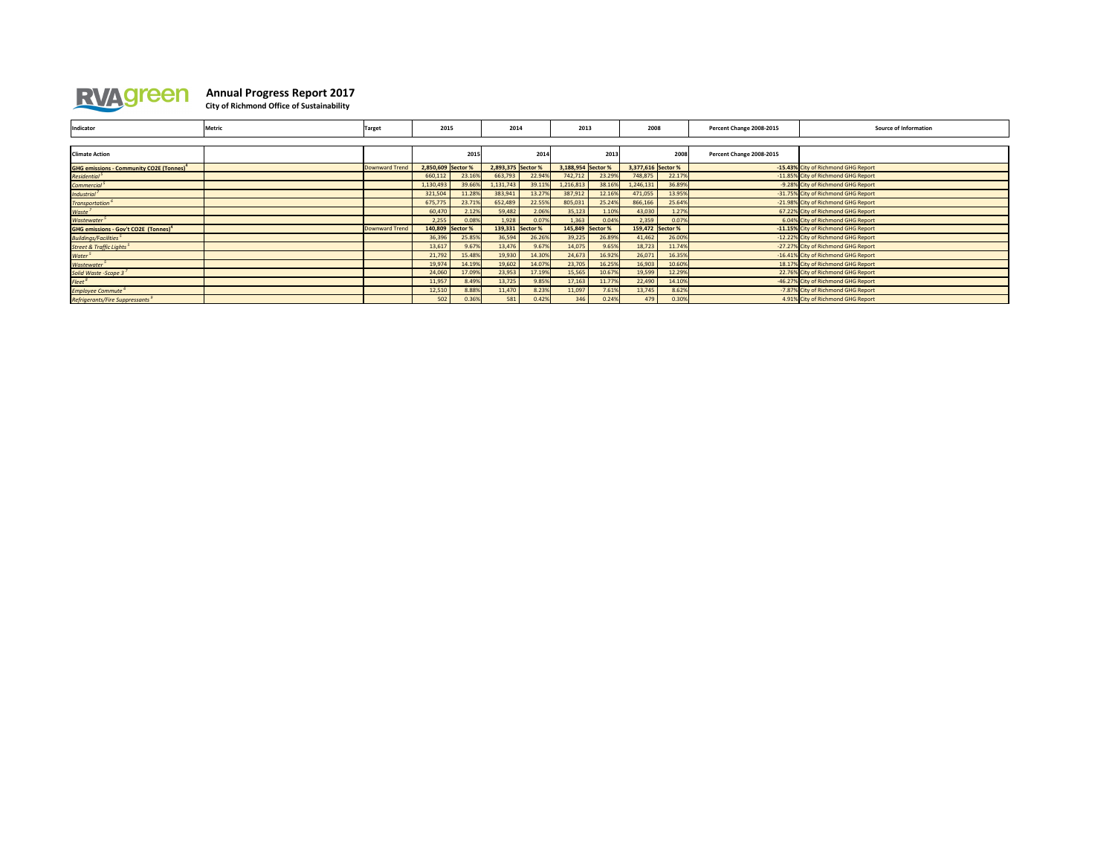

## **Annual Progress Report 2017**

**City of Richmond Office of Sustainability**

| Indicator                                                   | Metric | <b>Target</b>         | 2015                                 |        | 2014               |        | 2013               |        | 2008               |                                     | Percent Change 2008-2015 | <b>Source of Information</b>        |
|-------------------------------------------------------------|--------|-----------------------|--------------------------------------|--------|--------------------|--------|--------------------|--------|--------------------|-------------------------------------|--------------------------|-------------------------------------|
|                                                             |        |                       |                                      |        |                    |        |                    |        |                    |                                     |                          |                                     |
| <b>Climate Action</b>                                       |        |                       | 2015                                 |        | 2014               |        |                    | 2013   |                    | 2008                                | Percent Change 2008-2015 |                                     |
| <b>GHG emissions - Community CO2E (Tonnes)</b> <sup>4</sup> |        | Downward Trend        | 2,850,609 Sector %                   |        | 2,893,375 Sector % |        | 3,188,954 Sector % |        | 3,377,616 Sector % |                                     |                          | -15.43% City of Richmond GHG Report |
| Residential <sup>5</sup>                                    |        |                       | 660,112                              | 23.16% | 663,793            | 22.94% | 742,712            | 23.29% | 748,875            | 22.17%                              |                          | -11.85% City of Richmond GHG Report |
| Commercial <sup>5</sup>                                     |        |                       | 1,130,493                            | 39.66% | 1,131,743          | 39.11% | 1,216,813          | 38.16% | 1,246,131          | 36.89%                              |                          | -9.28% City of Richmond GHG Report  |
| Industrial <sup>7</sup>                                     |        |                       | 321,504                              | 11.28% | 383,941            | 13.27% | 387,912            | 12.16% | 471,055            | 13.95%                              |                          | -31.75% City of Richmond GHG Report |
| Transportation <sup>6</sup>                                 |        |                       | 675,775                              | 23.71% | 652,489            | 22.55% | 805,031            | 25.24% | 866,166            | 25.64%                              |                          | -21.98% City of Richmond GHG Report |
| Waste <sup>7</sup>                                          |        |                       | 60,470                               | 2.12%  | 59,482             | 2.06%  | 35,123             | 1.10%  | 43,030             | 1.27%                               |                          | 67.22% City of Richmond GHG Report  |
| <b>Wastewater<sup>5</sup></b>                               |        |                       | 2,255                                | 0.08%  | 1,928              | 0.07%  | 1,363              | 0.04%  | 2,359              | 0.07%                               |                          | 6.04% City of Richmond GHG Report   |
| <b>GHG emissions - Gov't CO2E (Tonnes)</b> <sup>4</sup>     |        | <b>Downward Trend</b> | 140,809 Sector %<br>139,331 Sector % |        | 145,849 Sector %   |        | 159,472 Sector %   |        |                    | -11.15% City of Richmond GHG Report |                          |                                     |
| <b>Buildings/Facilities</b> <sup>5</sup>                    |        |                       | 36,396                               | 25.85% | 36,594             | 26.26% | 39,225             | 26.89% | 41,462             | 26.00%                              |                          | -12.22% City of Richmond GHG Report |
| Street & Traffic Lights <sup>5</sup>                        |        |                       | 13,617                               | 9.67%  | 13,476             | 9.67%  | 14,075             | 9.65%  | 18,723             | 11.74%                              |                          | -27.27% City of Richmond GHG Report |
| Water <sup>5</sup>                                          |        |                       | 21,792                               | 15.48% | 19,930             | 14.30% | 24,673             | 16.92% | 26,071             | 16.35%                              |                          | -16.41% City of Richmond GHG Report |
| <b>Wastewater<sup>5</sup></b>                               |        |                       | 19,974                               | 14.19% | 19,602             | 14.07% | 23,705             | 16.25% | 16,903             | 10.60%                              |                          | 18.17% City of Richmond GHG Report  |
| Solid Waste -Scope 3                                        |        |                       | 24,060                               | 17.09% | 23,953             | 17.19% | 15,565             | 10.67% | 19,599             | 12.29%                              |                          | 22.76% City of Richmond GHG Report  |
| Fleet <sup>8</sup>                                          |        |                       | 11,957                               | 8.49%  | 13,725             | 9.85%  | 17,163             | 11.77% | 22,490             | 14.10%                              |                          | -46.27% City of Richmond GHG Report |
| <b>Employee Commute<sup>6</sup></b>                         |        |                       | 12,510                               | 8.88%  | 11,470             | 8.23%  | 11,097             | 7.61%  | 13,745             | 8.62%                               |                          | -7.87% City of Richmond GHG Report  |
| Refrigerants/Fire Suppressants <sup>9</sup>                 |        |                       | 502                                  | 0.36%  | 581                | 0.42%  | 346                | 0.24%  | 479                | 0.30%                               |                          | 4.91% City of Richmond GHG Report   |